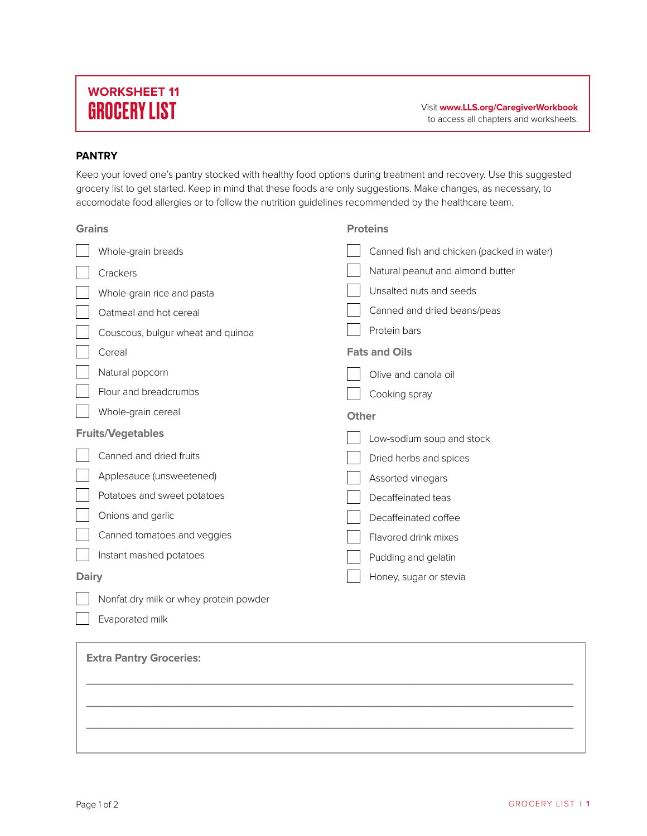## **WORKSHEET 11**

## **PANTRY**

Keep your loved one's pantry stocked with healthy food options during treatment and recovery. Use this suggested grocery list to get started. Keep in mind that these foods are only suggestions. Make changes, as necessary, to accomodate food allergies or to follow the nutrition guidelines recommended by the healthcare team.

| <b>Grains</b> |                                        |              | <b>Proteins</b>                           |
|---------------|----------------------------------------|--------------|-------------------------------------------|
|               | Whole-grain breads                     |              | Canned fish and chicken (packed in water) |
|               | Crackers                               |              | Natural peanut and almond butter          |
|               | Whole-grain rice and pasta             |              | Unsalted nuts and seeds                   |
|               | Oatmeal and hot cereal                 |              | Canned and dried beans/peas               |
|               | Couscous, bulgur wheat and quinoa      |              | Protein bars                              |
|               | Cereal                                 |              | <b>Fats and Oils</b>                      |
|               | Natural popcorn                        |              | Olive and canola oil                      |
|               | Flour and breadcrumbs                  |              | Cooking spray                             |
|               | Whole-grain cereal                     | <b>Other</b> |                                           |
|               |                                        |              |                                           |
|               | <b>Fruits/Vegetables</b>               |              | Low-sodium soup and stock                 |
|               | Canned and dried fruits                |              | Dried herbs and spices                    |
|               | Applesauce (unsweetened)               |              | Assorted vinegars                         |
|               | Potatoes and sweet potatoes            |              | Decaffeinated teas                        |
|               | Onions and garlic                      |              | Decaffeinated coffee                      |
|               | Canned tomatoes and veggies            |              | Flavored drink mixes                      |
|               | Instant mashed potatoes                |              | Pudding and gelatin                       |
| <b>Dairy</b>  |                                        |              | Honey, sugar or stevia                    |
|               | Nonfat dry milk or whey protein powder |              |                                           |

## **Extra Pantry Groceries: \_\_\_\_\_\_\_\_\_\_\_\_\_\_\_\_\_\_\_\_\_\_\_\_\_\_\_\_\_\_\_\_\_\_\_\_\_\_\_\_\_\_\_\_\_\_\_\_\_\_\_\_\_\_\_\_\_\_\_\_\_\_\_\_\_\_\_\_\_\_\_\_\_\_\_\_\_\_ \_\_\_\_\_\_\_\_\_\_\_\_\_\_\_\_\_\_\_\_\_\_\_\_\_\_\_\_\_\_\_\_\_\_\_\_\_\_\_\_\_\_\_\_\_\_\_\_\_\_\_\_\_\_\_\_\_\_\_\_\_\_\_\_\_\_\_\_\_\_\_\_\_\_\_\_\_\_ \_\_\_\_\_\_\_\_\_\_\_\_\_\_\_\_\_\_\_\_\_\_\_\_\_\_\_\_\_\_\_\_\_\_\_\_\_\_\_\_\_\_\_\_\_\_\_\_\_\_\_\_\_\_\_\_\_\_\_\_\_\_\_\_\_\_\_\_\_\_\_\_\_\_\_\_\_\_**